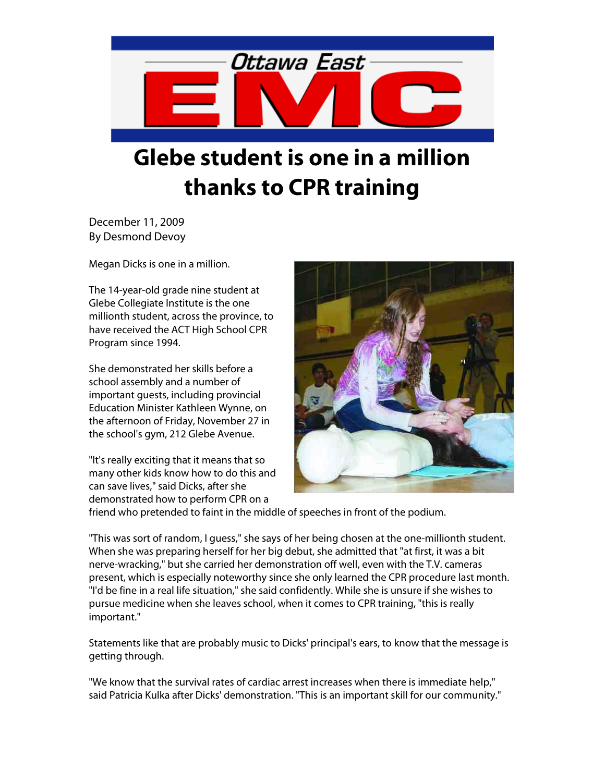

## **Glebe student is one in a million thanks to CPR training**

December 11, 2009 By Desmond Devoy

Megan Dicks is one in a million.

The 14-year-old grade nine student at Glebe Collegiate Institute is the one millionth student, across the province, to have received the ACT High School CPR Program since 1994.

She demonstrated her skills before a school assembly and a number of important guests, including provincial Education Minister Kathleen Wynne, on the afternoon of Friday, November 27 in the school's gym, 212 Glebe Avenue.

"It's really exciting that it means that so many other kids know how to do this and can save lives," said Dicks, after she demonstrated how to perform CPR on a



friend who pretended to faint in the middle of speeches in front of the podium.

"This was sort of random, I guess," she says of her being chosen at the one-millionth student. When she was preparing herself for her big debut, she admitted that "at first, it was a bit nerve-wracking," but she carried her demonstration off well, even with the T.V. cameras present, which is especially noteworthy since she only learned the CPR procedure last month. "I'd be fine in a real life situation," she said confidently. While she is unsure if she wishes to pursue medicine when she leaves school, when it comes to CPR training, "this is really important."

Statements like that are probably music to Dicks' principal's ears, to know that the message is getting through.

"We know that the survival rates of cardiac arrest increases when there is immediate help," said Patricia Kulka after Dicks' demonstration. "This is an important skill for our community."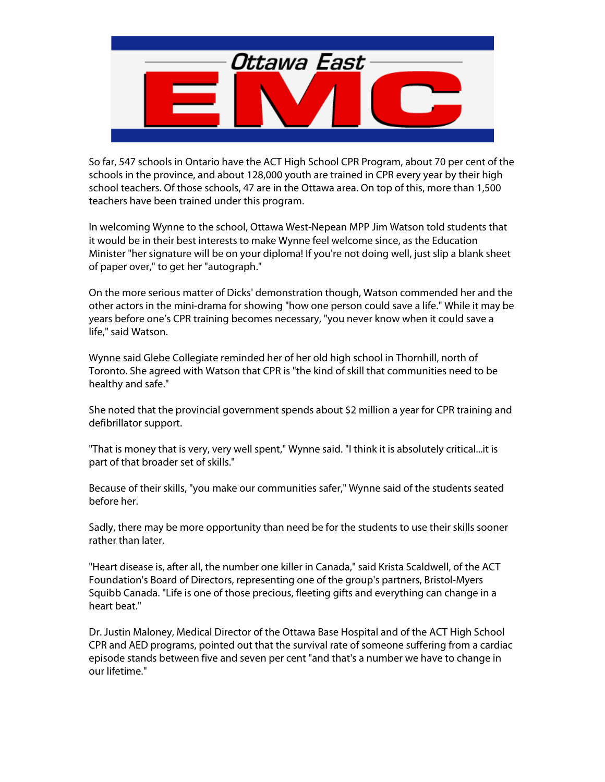

So far, 547 schools in Ontario have the ACT High School CPR Program, about 70 per cent of the schools in the province, and about 128,000 youth are trained in CPR every year by their high school teachers. Of those schools, 47 are in the Ottawa area. On top of this, more than 1,500 teachers have been trained under this program.

In welcoming Wynne to the school, Ottawa West-Nepean MPP Jim Watson told students that it would be in their best interests to make Wynne feel welcome since, as the Education Minister "her signature will be on your diploma! If you're not doing well, just slip a blank sheet of paper over," to get her "autograph."

On the more serious matter of Dicks' demonstration though, Watson commended her and the other actors in the mini-drama for showing "how one person could save a life." While it may be years before one's CPR training becomes necessary, "you never know when it could save a life," said Watson.

Wynne said Glebe Collegiate reminded her of her old high school in Thornhill, north of Toronto. She agreed with Watson that CPR is "the kind of skill that communities need to be healthy and safe."

She noted that the provincial government spends about \$2 million a year for CPR training and defibrillator support.

"That is money that is very, very well spent," Wynne said. "I think it is absolutely critical...it is part of that broader set of skills."

Because of their skills, "you make our communities safer," Wynne said of the students seated before her.

Sadly, there may be more opportunity than need be for the students to use their skills sooner rather than later.

"Heart disease is, after all, the number one killer in Canada," said Krista Scaldwell, of the ACT Foundation's Board of Directors, representing one of the group's partners, Bristol-Myers Squibb Canada. "Life is one of those precious, fleeting gifts and everything can change in a heart beat."

Dr. Justin Maloney, Medical Director of the Ottawa Base Hospital and of the ACT High School CPR and AED programs, pointed out that the survival rate of someone suffering from a cardiac episode stands between five and seven per cent "and that's a number we have to change in our lifetime."